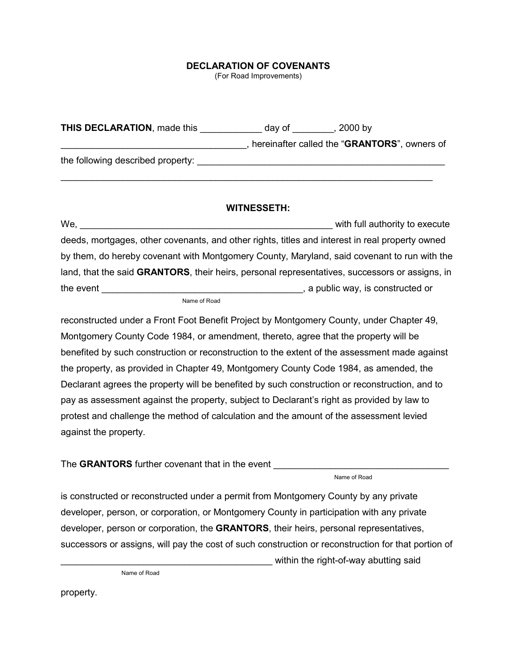## **DECLARATION OF COVENANTS**

(For Road Improvements)

| <b>THIS DECLARATION, made this</b> | . 2000 bv<br>day of                                   |
|------------------------------------|-------------------------------------------------------|
|                                    | hereinafter called the " <b>GRANTORS</b> ", owners of |
| the following described property:  |                                                       |

\_\_\_\_\_\_\_\_\_\_\_\_\_\_\_\_\_\_\_\_\_\_\_\_\_\_\_\_\_\_\_\_\_\_\_\_\_\_\_\_\_\_\_\_\_\_\_\_\_\_\_\_\_\_\_\_\_\_\_\_\_\_\_\_\_\_\_\_\_\_\_\_

## **WITNESSETH:**

We, \_\_\_\_\_\_\_\_\_\_\_\_\_\_\_\_\_\_\_\_\_\_\_\_\_\_\_\_\_\_\_\_\_\_\_\_\_\_\_\_\_\_\_\_\_\_\_\_\_ with full authority to execute deeds, mortgages, other covenants, and other rights, titles and interest in real property owned by them, do hereby covenant with Montgomery County, Maryland, said covenant to run with the land, that the said **GRANTORS**, their heirs, personal representatives, successors or assigns, in the event the event the event  $\frac{1}{2}$  a public way, is constructed or

Name of Road

reconstructed under a Front Foot Benefit Project by Montgomery County, under Chapter 49, Montgomery County Code 1984, or amendment, thereto, agree that the property will be benefited by such construction or reconstruction to the extent of the assessment made against the property, as provided in Chapter 49, Montgomery County Code 1984, as amended, the Declarant agrees the property will be benefited by such construction or reconstruction, and to pay as assessment against the property, subject to Declarant's right as provided by law to protest and challenge the method of calculation and the amount of the assessment levied against the property.

The GRANTORS further covenant that in the event

Name of Road

is constructed or reconstructed under a permit from Montgomery County by any private developer, person, or corporation, or Montgomery County in participation with any private developer, person or corporation, the **GRANTORS**, their heirs, personal representatives, successors or assigns, will pay the cost of such construction or reconstruction for that portion of

within the right-of-way abutting said

Name of Road

property.